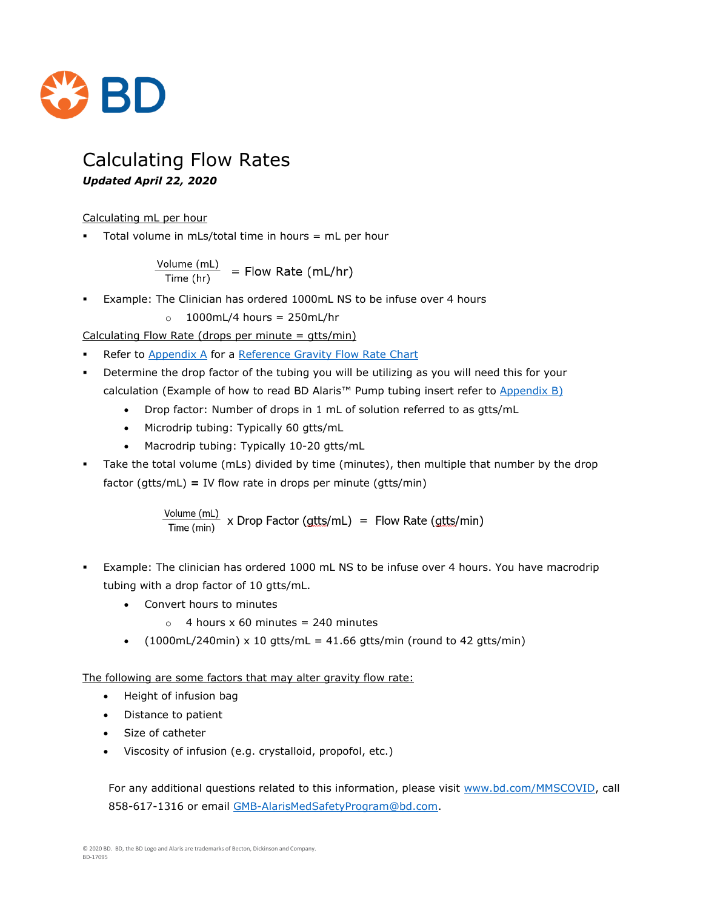

# Calculating Flow Rates

#### *Updated April 22, 2020*

#### Calculating mL per hour

Total volume in mLs/total time in hours  $=$  mL per hour

$$
\frac{\text{Volume (mL)}}{\text{Time (hr)}} = \text{Flow Rate (mL/hr)}
$$

- Example: The Clinician has ordered 1000mL NS to be infuse over 4 hours
	- $o$  1000mL/4 hours = 250mL/hr

Calculating Flow Rate (drops per minute =  $qtts/min$ )

- Refer to [Appendix A](#page-1-0) for a [Reference Gravity Flow Rate Chart](#page-1-0)
- Determine the drop factor of the tubing you will be utilizing as you will need this for your calculation (Example of how to read BD Alaris™ Pump tubing insert refer to [Appendix B\)](#page-2-0)
	- Drop factor: Number of drops in 1 mL of solution referred to as gtts/mL
	- Microdrip tubing: Typically 60 gtts/mL
	- Macrodrip tubing: Typically 10-20 gtts/mL
- Take the total volume (mLs) divided by time (minutes), then multiple that number by the drop factor (gtts/mL) **=** IV flow rate in drops per minute (gtts/min)

$$
\frac{\text{Volume (ml)}}{\text{Time (min)}} \times \text{Drop Factor (gtts/mL)} = \text{Flow Rate (gtts/min)}
$$

- Example: The clinician has ordered 1000 mL NS to be infuse over 4 hours. You have macrodrip tubing with a drop factor of 10 gtts/mL.
	- Convert hours to minutes
		- $\circ$  4 hours x 60 minutes = 240 minutes
	- $(1000 \text{mL}/240 \text{min}) \times 10 \text{ g}$ tts/mL = 41.66 gtts/min (round to 42 gtts/min)

The following are some factors that may alter gravity flow rate:

- Height of infusion bag
- Distance to patient
- Size of catheter
- Viscosity of infusion (e.g. crystalloid, propofol, etc.)

For any additional questions related to this information, please visit [www.bd.com/MMSCOVID,](http://www.bd.com/MMSCOVID) call 858-617-1316 or email [GMB-AlarisMedSafetyProgram@bd.com.](mailto:GMB-AlarisMedSafetyProgram@bd.com)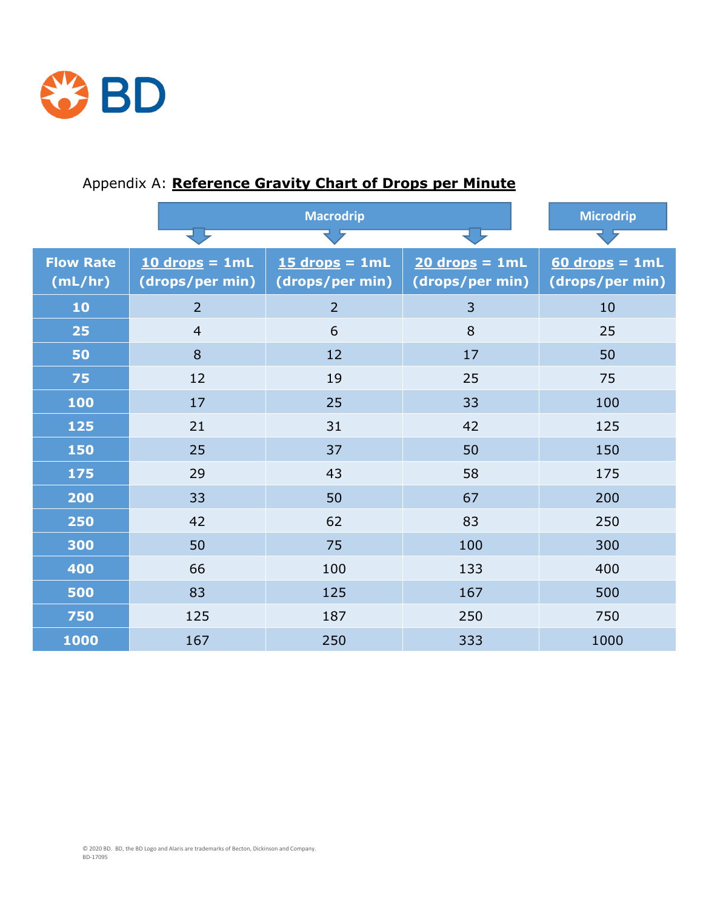

|                  | <b>Macrodrip</b> |                  |                  | <b>Microdrip</b> |
|------------------|------------------|------------------|------------------|------------------|
|                  |                  |                  |                  |                  |
| <b>Flow Rate</b> | $10$ drops = 1mL | $15$ drops = 1mL | $20$ drops = 1mL | $60$ drops = 1mL |
| (mL/hr)          | (drops/per min)  | (drops/per min)  | (drops/per min)  | (drops/per min)  |
| 10               | $\overline{2}$   | $\overline{2}$   | $\overline{3}$   | 10               |
| 25               | $\overline{4}$   | 6                | 8                | 25               |
| 50               | 8                | 12               | 17               | 50               |
| 75               | 12               | 19               | 25               | 75               |
| 100              | 17               | 25               | 33               | 100              |
| 125              | 21               | 31               | 42               | 125              |
| 150              | 25               | 37               | 50               | 150              |
| 175              | 29               | 43               | 58               | 175              |
| 200              | 33               | 50               | 67               | 200              |
| 250              | 42               | 62               | 83               | 250              |
| 300              | 50               | 75               | 100              | 300              |
| 400              | 66               | 100              | 133              | 400              |
| 500              | 83               | 125              | 167              | 500              |
| 750              | 125              | 187              | 250              | 750              |
| 1000             | 167              | 250              | 333              | 1000             |

## <span id="page-1-0"></span>Appendix A: **Reference Gravity Chart of Drops per Minute**